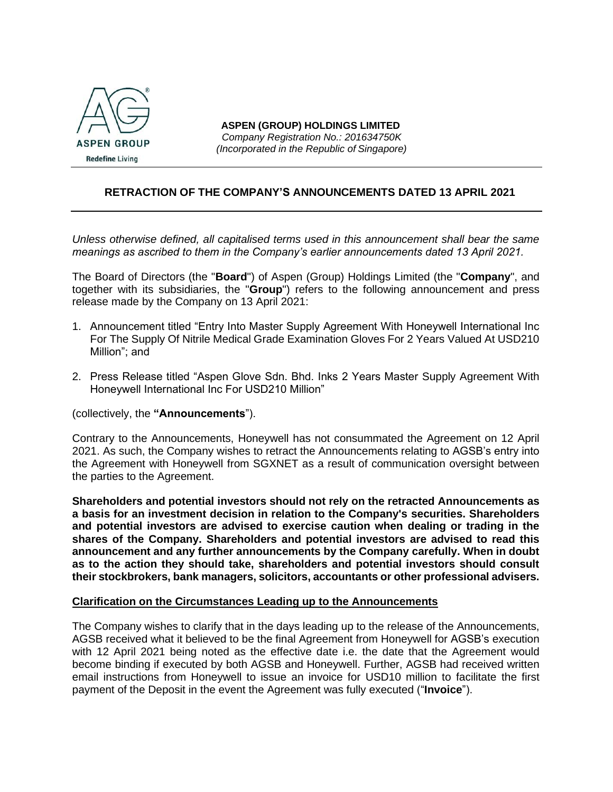

**ASPEN (GROUP) HOLDINGS LIMITED** *Company Registration No.: 201634750K (Incorporated in the Republic of Singapore)*

## **RETRACTION OF THE COMPANY'S ANNOUNCEMENTS DATED 13 APRIL 2021**

*Unless otherwise defined, all capitalised terms used in this announcement shall bear the same meanings as ascribed to them in the Company's earlier announcements dated 13 April 2021.* 

The Board of Directors (the "**Board**") of Aspen (Group) Holdings Limited (the "**Company**", and together with its subsidiaries, the "**Group**") refers to the following announcement and press release made by the Company on 13 April 2021:

- 1. Announcement titled "Entry Into Master Supply Agreement With Honeywell International Inc For The Supply Of Nitrile Medical Grade Examination Gloves For 2 Years Valued At USD210 Million"; and
- 2. Press Release titled "Aspen Glove Sdn. Bhd. Inks 2 Years Master Supply Agreement With Honeywell International Inc For USD210 Million"

(collectively, the **"Announcements**").

Contrary to the Announcements, Honeywell has not consummated the Agreement on 12 April 2021. As such, the Company wishes to retract the Announcements relating to AGSB's entry into the Agreement with Honeywell from SGXNET as a result of communication oversight between the parties to the Agreement.

**Shareholders and potential investors should not rely on the retracted Announcements as a basis for an investment decision in relation to the Company's securities. Shareholders and potential investors are advised to exercise caution when dealing or trading in the shares of the Company. Shareholders and potential investors are advised to read this announcement and any further announcements by the Company carefully. When in doubt as to the action they should take, shareholders and potential investors should consult their stockbrokers, bank managers, solicitors, accountants or other professional advisers.**

## **Clarification on the Circumstances Leading up to the Announcements**

The Company wishes to clarify that in the days leading up to the release of the Announcements, AGSB received what it believed to be the final Agreement from Honeywell for AGSB's execution with 12 April 2021 being noted as the effective date i.e. the date that the Agreement would become binding if executed by both AGSB and Honeywell. Further, AGSB had received written email instructions from Honeywell to issue an invoice for USD10 million to facilitate the first payment of the Deposit in the event the Agreement was fully executed ("**Invoice**").